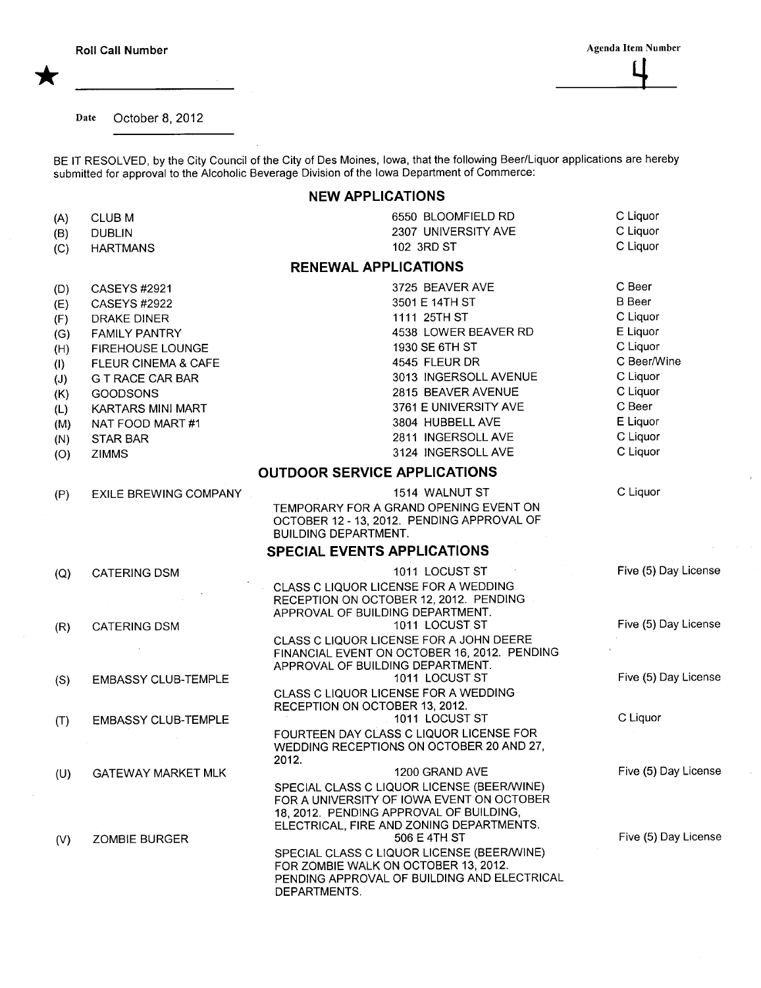Date October 8, 2012

BE IT RESOLVED, by the City Council of the City of Des Moines, Iowa, that the following Beer/Liquor applications are hereby submitted for approval to the Alcoholic Beverage Division of the Iowa Department of Commerce:

## NEW APPLICATIONS

| (A) | CLUB <sub>M</sub>              | 6550 BLOOMFIELD RD                                                                      | C Liquor             |
|-----|--------------------------------|-----------------------------------------------------------------------------------------|----------------------|
| (B) | <b>DUBLIN</b>                  | 2307 UNIVERSITY AVE                                                                     | C Liquor             |
| (C) | <b>HARTMANS</b>                | 102 3RD ST                                                                              | C Liquor             |
|     |                                | <b>RENEWAL APPLICATIONS</b>                                                             |                      |
| (D) | <b>CASEYS #2921</b>            | 3725 BEAVER AVE                                                                         | C Beer               |
| (E) | <b>CASEYS #2922</b>            | 3501 E 14TH ST                                                                          | <b>B</b> Beer        |
| (F) | DRAKE DINER                    | 1111 25TH ST                                                                            | C Liquor             |
| (G) | <b>FAMILY PANTRY</b>           | 4538 LOWER BEAVER RD                                                                    | E Liquor             |
| (H) | <b>FIREHOUSE LOUNGE</b>        | 1930 SE 6TH ST                                                                          | C Liquor             |
| (1) | <b>FLEUR CINEMA &amp; CAFE</b> | 4545 FLEUR DR                                                                           | C Beer/Wine          |
| (J) | <b>G T RACE CAR BAR</b>        | 3013 INGERSOLL AVENUE                                                                   | C Liquor             |
| (K) | <b>GOODSONS</b>                | 2815 BEAVER AVENUE                                                                      | C Liquor             |
| (L) | KARTARS MINI MART              | 3761 E UNIVERSITY AVE                                                                   | C Beer               |
| (M) | NAT FOOD MART #1               | 3804 HUBBELL AVE                                                                        | E Liquor             |
| (N) | <b>STAR BAR</b>                | 2811 INGERSOLL AVE                                                                      | C Liquor             |
| (O) | <b>ZIMMS</b>                   | 3124 INGERSOLL AVE                                                                      | C Liquor             |
|     |                                | <b>OUTDOOR SERVICE APPLICATIONS</b>                                                     |                      |
|     | <b>EXILE BREWING COMPANY</b>   | 1514 WALNUT ST                                                                          | C Liquor             |
| (P) |                                | TEMPORARY FOR A GRAND OPENING EVENT ON                                                  |                      |
|     |                                | OCTOBER 12 - 13, 2012. PENDING APPROVAL OF                                              |                      |
|     |                                | <b>BUILDING DEPARTMENT.</b>                                                             |                      |
|     |                                | <b>SPECIAL EVENTS APPLICATIONS</b>                                                      |                      |
| (Q) | <b>CATERING DSM</b>            | 1011 LOCUST ST                                                                          | Five (5) Day License |
|     |                                | CLASS C LIQUOR LICENSE FOR A WEDDING                                                    |                      |
|     |                                | RECEPTION ON OCTOBER 12, 2012. PENDING                                                  |                      |
|     |                                | APPROVAL OF BUILDING DEPARTMENT.                                                        |                      |
| (R) | <b>CATERING DSM</b>            | 1011 LOCUST ST                                                                          | Five (5) Day License |
|     |                                | CLASS C LIQUOR LICENSE FOR A JOHN DEERE<br>FINANCIAL EVENT ON OCTOBER 16, 2012. PENDING |                      |
|     |                                | APPROVAL OF BUILDING DEPARTMENT.                                                        |                      |
| (S) | <b>EMBASSY CLUB-TEMPLE</b>     | 1011 LOCUST ST                                                                          | Five (5) Day License |
|     |                                | CLASS C LIQUOR LICENSE FOR A WEDDING                                                    |                      |
|     |                                | RECEPTION ON OCTOBER 13, 2012.                                                          |                      |
| (T) | <b>EMBASSY CLUB-TEMPLE</b>     | 1011 LOCUST ST                                                                          | C Liquor             |
|     |                                | FOURTEEN DAY CLASS C LIQUOR LICENSE FOR                                                 |                      |
|     |                                | WEDDING RECEPTIONS ON OCTOBER 20 AND 27,                                                |                      |
|     |                                | 2012.<br>1200 GRAND AVE                                                                 | Five (5) Day License |
| (U) | GATEWAY MARKET MLK             | SPECIAL CLASS C LIQUOR LICENSE (BEER/WINE)                                              |                      |
|     |                                | FOR A UNIVERSITY OF IOWA EVENT ON OCTOBER                                               |                      |
|     |                                | 18, 2012. PENDING APPROVAL OF BUILDING,                                                 |                      |
|     |                                | ELECTRICAL, FIRE AND ZONING DEPARTMENTS.                                                |                      |
| (V) | <b>ZOMBIE BURGER</b>           | 506 E 4TH ST                                                                            | Five (5) Day License |
|     |                                | SPECIAL CLASS C LIQUOR LICENSE (BEER/WINE)                                              |                      |
|     |                                | FOR ZOMBIE WALK ON OCTOBER 13, 2012.                                                    |                      |
|     |                                | PENDING APPROVAL OF BUILDING AND ELECTRICAL                                             |                      |
|     |                                | DEPARTMENTS.                                                                            |                      |